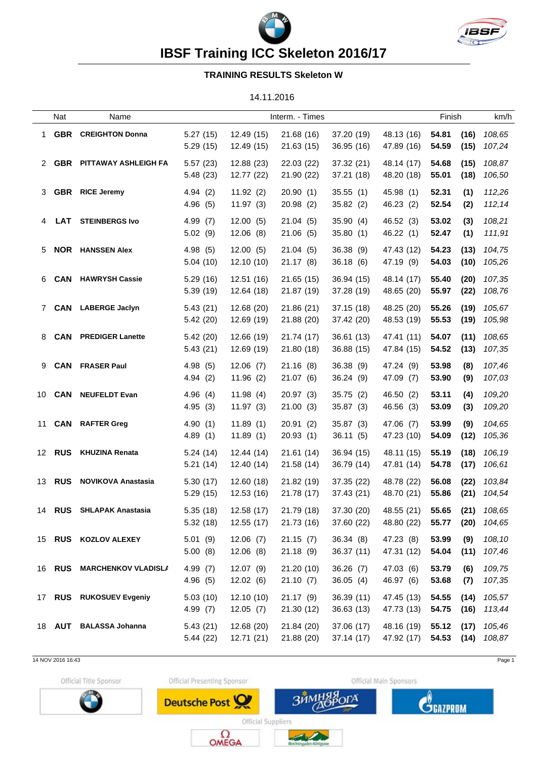



## **IBSF Training ICC Skeleton 2016/17**

## **TRAINING RESULTS Skeleton W**

14.11.2016

|    | Nat           | Name                       | Interm. - Times      |                          |                          |                          | Finish                   | km/h           |              |                                    |
|----|---------------|----------------------------|----------------------|--------------------------|--------------------------|--------------------------|--------------------------|----------------|--------------|------------------------------------|
| 1  | <b>GBR</b>    | <b>CREIGHTON Donna</b>     | 5.27(15)<br>5.29(15) | 12.49 (15)<br>12.49 (15) | 21.68 (16)<br>21.63 (15) | 37.20 (19)<br>36.95(16)  | 48.13 (16)<br>47.89 (16) | 54.81<br>54.59 | (16)<br>(15) | 108,65<br>107,24                   |
|    |               | 2 GBR PITTAWAY ASHLEIGH FA | 5.57(23)<br>5.48(23) | 12.88 (23)<br>12.77 (22) | 22.03 (22)<br>21.90 (22) | 37.32 (21)<br>37.21 (18) | 48.14 (17)<br>48.20 (18) | 54.68<br>55.01 | (15)<br>(18) | 108,87<br>106,50                   |
| 3  |               | <b>GBR</b> RICE Jeremy     | 4.94(2)<br>4.96(5)   | 11.92(2)<br>11.97(3)     | 20.90(1)<br>20.98(2)     | 35.55(1)<br>35.82 (2)    | 45.98 (1)<br>46.23 (2)   | 52.31<br>52.54 | (1)<br>(2)   | 112,26<br>112,14                   |
|    | LAT           | <b>STEINBERGS Ivo</b>      | 4.99(7)<br>5.02(9)   | 12.00(5)<br>12.06(8)     | 21.04(5)<br>21.06 (5)    | 35.90(4)<br>35.80(1)     | 46.52 (3)<br>46.22 (1)   | 53.02<br>52.47 | (3)<br>(1)   | 108,21<br>111,91                   |
| 5. |               | <b>NOR</b> HANSSEN Alex    | 4.98(5)<br>5.04(10)  | 12.00(5)<br>12.10 (10)   | 21.04(5)<br>21.17 (8)    | 36.38(9)<br>36.18 (6)    | 47.43 (12)<br>47.19 (9)  | 54.23<br>54.03 | (13)<br>(10) | 104,75<br>105,26                   |
| 6. | <b>CAN</b>    | <b>HAWRYSH Cassie</b>      | 5.29(16)<br>5.39(19) | 12.51 (16)<br>12.64 (18) | 21.65 (15)<br>21.87 (19) | 36.94 (15)<br>37.28 (19) | 48.14 (17)<br>48.65 (20) | 55.40<br>55.97 | (20)<br>(22) | 107,35<br>108,76                   |
|    |               | 7 CAN LABERGE Jaclyn       | 5.43(21)<br>5.42(20) | 12.68 (20)<br>12.69 (19) | 21.86(21)<br>21.88 (20)  | 37.15 (18)<br>37.42 (20) | 48.25 (20)<br>48.53 (19) | 55.26<br>55.53 | (19)<br>(19) | 105,67<br>105,98                   |
| 8  | <b>CAN</b>    | <b>PREDIGER Lanette</b>    | 5.42(20)<br>5.43(21) | 12.66 (19)<br>12.69 (19) | 21.74 (17)<br>21.80 (18) | 36.61 (13)<br>36.88 (15) | 47.41 (11)<br>47.84 (15) | 54.07<br>54.52 | (11)<br>(13) | 108,65<br>107,35                   |
| 9  |               | <b>CAN</b> FRASER Paul     | 4.98(5)<br>4.94(2)   | 12.06(7)<br>11.96(2)     | 21.16(8)<br>21.07(6)     | 36.38(9)<br>36.24 (9)    | 47.24 (9)<br>47.09 (7)   | 53.98<br>53.90 | (8)<br>(9)   | 107,46<br>107,03                   |
|    | 10 <b>CAN</b> | <b>NEUFELDT Evan</b>       | 4.96(4)<br>4.95(3)   | 11.98(4)<br>11.97(3)     | 20.97 (3)<br>21.00(3)    | 35.75(2)<br>35.87 (3)    | 46.50 (2)<br>46.56 (3)   | 53.11<br>53.09 | (4)<br>(3)   | 109,20<br>109,20                   |
|    |               | 11 CAN RAFTER Greg         | 4.90(1)<br>4.89(1)   | 11.89(1)<br>11.89(1)     | 20.91(2)<br>20.93(1)     | 35.87(3)<br>36.11(5)     | 47.06 (7)<br>47.23 (10)  | 53.99<br>54.09 | (9)<br>(12)  | 104,65<br>105,36                   |
|    | 12 <b>RUS</b> | <b>KHUZINA Renata</b>      | 5.24(14)<br>5.21(14) | 12.44 (14)<br>12.40 (14) | 21.61 (14)<br>21.58 (14) | 36.94 (15)<br>36.79 (14) | 48.11 (15)<br>47.81 (14) | 55.19<br>54.78 | (18)<br>(17) | 106,19<br>106,61                   |
|    | 13 <b>RUS</b> | <b>NOVIKOVA Anastasia</b>  | 5.30(17)<br>5.29(15) | 12.60 (18)<br>12.53 (16) | 21.82 (19)<br>21.78 (17) | 37.35 (22)<br>37.43 (21) | 48.78 (22)<br>48.70 (21) | 56.08<br>55.86 | (22)<br>(21) | 103,84<br>104,54                   |
|    |               | 14 RUS SHLAPAK Anastasia   | 5.35(18)<br>5.32(18) | 12.58 (17)<br>12.55 (17) | 21.79 (18)<br>21.73 (16) | 37.30 (20)<br>37.60 (22) | 48.55 (21)<br>48.80 (22) | 55.65<br>55.77 |              | $(21)$ $108,65$<br>$(20)$ $104,65$ |
|    |               | 15 RUS KOZLOV ALEXEY       | 5.01(9)<br>5.00(8)   | 12.06(7)<br>12.06(8)     | 21.15(7)<br>21.18(9)     | 36.34(8)<br>36.37(11)    | 47.23 (8)<br>47.31 (12)  | 53.99<br>54.04 | (9)<br>(11)  | 108,10<br>107,46                   |
|    |               | 16 RUS MARCHENKOV VLADISLA | 4.99(7)<br>4.96(5)   | 12.07(9)<br>12.02(6)     | 21.20 (10)<br>21.10(7)   | 36.26(7)<br>36.05(4)     | 47.03 (6)<br>46.97 (6)   | 53.79<br>53.68 | (6)<br>(7)   | 109,75<br>107,35                   |
|    |               | 17 RUS RUKOSUEV Evgeniy    | 5.03(10)<br>4.99(7)  | 12.10(10)<br>12.05(7)    | 21.17(9)<br>21.30 (12)   | 36.39(11)<br>36.63(13)   | 47.45 (13)<br>47.73 (13) | 54.55<br>54.75 | (14)<br>(16) | 105,57<br>113,44                   |
|    |               | 18 AUT BALASSA Johanna     | 5.43(21)<br>5.44(22) | 12.68 (20)<br>12.71 (21) | 21.84 (20)<br>21.88 (20) | 37.06 (17)<br>37.14(17)  | 48.16 (19)<br>47.92 (17) | 55.12          | (17)         | 105,46<br>54.53 (14) 108,87        |

14 NOV 2016 16:43 Page 1

Official Title Sponsor



Official Presenting Sponsor

Deutsche Post



ГÄ



Official Suppliers  $\Omega_{\text{OMEGA}}$ 

 $3n<sub>1</sub>$ 

ر س